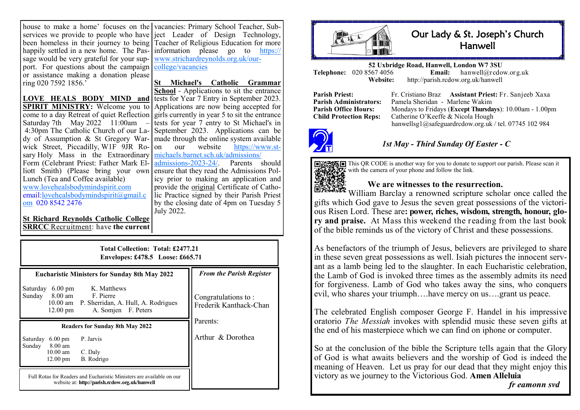house to make a home' focuses on the vacancies: Primary School Teacher, Subhappily settled in a new home. The Passage would be very grateful for your support. For questions about the campaign or assistance making a donation please ring 020 7592 1856.'

**LOVE HEALS BODY MIND and SPIRIT MINISTRY:** Welcome you to come to a day Retreat of quiet Reflection Saturday 7th May 2022 11:00am 4:30pm The Catholic Church of our Lady of Assumption & St Gregory Warwick Street, Piccadilly, W1F 9JR Rosary Holy Mass in the Extraordinary Form (Celebrant Priest: Father Mark Elliott Smith) (Please bring your own Lunch (Tea and Coffee available) [www.lovehealsbodymindspirit.com](http://www.lovehealsbodymindspirit.com) email:[lovehealsbodymindspirit@gmail.c](mailto:lovehealsbodymindspirit@gmail.com) [om](mailto:lovehealsbodymindspirit@gmail.com) 020 8542 2476

services we provide to people who have ject Leader of Design Technology, been homeless in their journey to being Teacher of Religious Education for more information please go to [https://](https://www.strichardreynolds.org.uk/our-college/vacancies) [www.strichardreynolds.org.uk/our](https://www.strichardreynolds.org.uk/our-college/vacancies)[college/vacancies](https://www.strichardreynolds.org.uk/our-college/vacancies)

> **St Michael's Catholic Grammar School** - Applications to sit the entrance tests for Year 7 Entry in September 2023. Applications are now being accepted for girls currently in year 5 to sit the entrance tests for year 7 entry to St Michael's in September 2023. Applications can be made through the online system available<br>on our website https://www.ston our website [michaels.barnet.sch.uk/admissions/](https://www.st-michaels.barnet.sch.uk/admissions/admissions-2023-24/)<br>admissions-2023-24/ Parents should  $admissions - 2023 - 24/$  $admissions - 2023 - 24/$ . ensure that they read the Admissions Policy prior to making an application and provide the original Certificate of Catholic Practice signed by their Parish Priest by the closing date of 4pm on Tuesday 5 July 2022.

**St Richard Reynolds Catholic College SRRCC** Recruitment: have **the current** 

| Total Collection: Total: £2477.21<br>Envelopes: £478.5 Loose: £665.71               |                                                                                                                         |                                               |  |
|-------------------------------------------------------------------------------------|-------------------------------------------------------------------------------------------------------------------------|-----------------------------------------------|--|
| <b>Eucharistic Ministers for Sunday 8th May 2022</b>                                |                                                                                                                         | <b>From the Parish Register</b>               |  |
| Saturday<br>$6.00 \text{ pm}$<br>Sunday<br>$12.00 \text{ pm}$                       | K. Matthews<br>8.00 am F. Pierre<br>10.00 am P. Sherridan, A. Hull, A. Rodrigues<br>A. Somjen F. Peters                 | Congratulations to:<br>Frederik Kanthack-Chan |  |
|                                                                                     | <b>Readers for Sunday 8th May 2022</b>                                                                                  | Parents:                                      |  |
| Saturday<br>$6.00 \text{ pm}$<br>Sunday 8.00 am<br>$10.00$ am<br>$12.00 \text{ pm}$ | P. Jarvis                                                                                                               | Arthur & Dorothea                             |  |
|                                                                                     | C. Daly<br>B. Rodrigo                                                                                                   |                                               |  |
|                                                                                     | Full Rotas for Readers and Eucharistic Ministers are available on our<br>website at: http://parish.rcdow.org.uk/hanwell |                                               |  |



## Our Lady & St. Joseph's Church **Hanwell**

**52 Uxbridge Road, Hanwell, London W7 3SU Telephone:** 020 8567 4056<br>**Website: Website:** http://parish.rcdow.org.uk/hanwell

**Parish Priest:** Fr. Cristiano Braz **Assistant Priest:** Fr. Sanjeeb Xaxa **Parish Administrators:** Pamela Sheridan - Marlene Wakim **Parish Office Hours:** Mondays to Fridays (**Except Thursdays**): 10.00am - 1.00pm Child Protection Reps: Catherine O'Keeffe & Nicola Hough Catherine O'Keeffe & Nicola Hough hanwellsg1@safeguardrcdow.org.uk / tel. 07745 102 984



### *1st May - Third Sunday Of Easter - C*

This QR CODE is another way for you to donate to support our parish. Please scan it with the camera of your phone and follow the link.

#### **We are witnesses to the resurrection.**

**ERUTE** William Barclay a renowned scripture scholar once called the gifts which God gave to Jesus the seven great possessions of the victorious Risen Lord. These are**: power, riches, wisdom, strength, honour, glory and praise.** At Mass this weekend the reading from the last book of the bible reminds us of the victory of Christ and these possessions.

As benefactors of the triumph of Jesus, believers are privileged to share in these seven great possessions as well. Isiah pictures the innocent servant as a lamb being led to the slaughter. In each Eucharistic celebration, the Lamb of God is invoked three times as the assembly admits its need for forgiveness. Lamb of God who takes away the sins, who conquers evil, who shares your triumph….have mercy on us….grant us peace.

The celebrated English composer George F. Handel in his impressive oratorio *The Messiah* invokes with splendid music these seven gifts at the end of his masterpiece which we can find on iphone or computer.

So at the conclusion of the bible the Scripture tells again that the Glory of God is what awaits believers and the worship of God is indeed the meaning of Heaven. Let us pray for our dead that they might enjoy this victory as we journey to the Victorious God. **Amen Alleluia**

*fr eamonn svd*